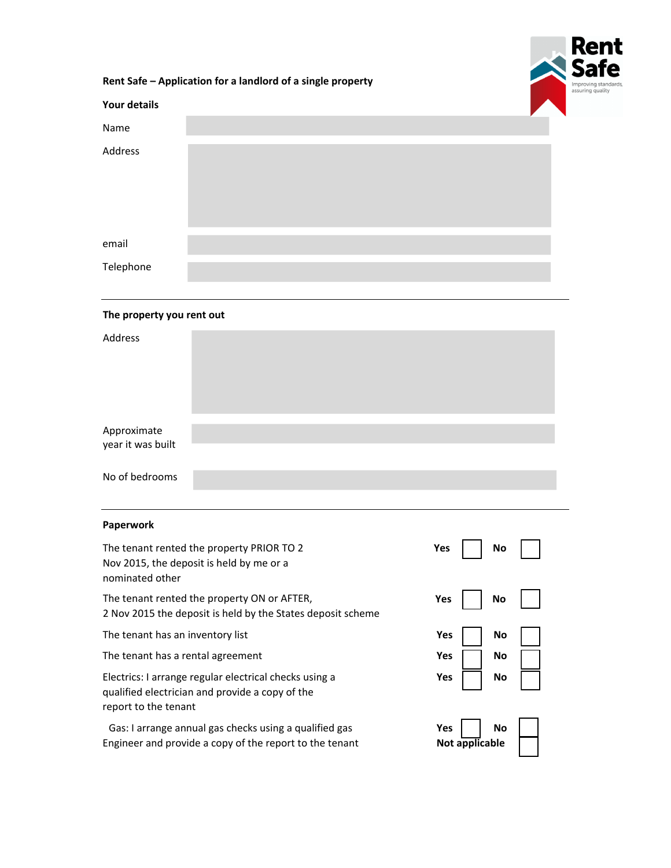

|                                                                                                                                   |  | Rent Safe - Application for a landlord of a single property |  |  |  |  |  |  |  |
|-----------------------------------------------------------------------------------------------------------------------------------|--|-------------------------------------------------------------|--|--|--|--|--|--|--|
| <b>Your details</b>                                                                                                               |  |                                                             |  |  |  |  |  |  |  |
| Name                                                                                                                              |  |                                                             |  |  |  |  |  |  |  |
| Address                                                                                                                           |  |                                                             |  |  |  |  |  |  |  |
| email                                                                                                                             |  |                                                             |  |  |  |  |  |  |  |
| Telephone                                                                                                                         |  |                                                             |  |  |  |  |  |  |  |
| The property you rent out                                                                                                         |  |                                                             |  |  |  |  |  |  |  |
| Address                                                                                                                           |  |                                                             |  |  |  |  |  |  |  |
| Approximate<br>year it was built                                                                                                  |  |                                                             |  |  |  |  |  |  |  |
| No of bedrooms                                                                                                                    |  |                                                             |  |  |  |  |  |  |  |
| Paperwork                                                                                                                         |  |                                                             |  |  |  |  |  |  |  |
| The tenant rented the property PRIOR TO 2<br>Nov 2015, the deposit is held by me or a<br>nominated other                          |  | Yes<br>No                                                   |  |  |  |  |  |  |  |
| The tenant rented the property ON or AFTER,<br>2 Nov 2015 the deposit is held by the States deposit scheme                        |  | Yes<br>No                                                   |  |  |  |  |  |  |  |
| The tenant has an inventory list                                                                                                  |  | Yes<br>No                                                   |  |  |  |  |  |  |  |
| The tenant has a rental agreement                                                                                                 |  | Yes<br>No                                                   |  |  |  |  |  |  |  |
| Electrics: I arrange regular electrical checks using a<br>qualified electrician and provide a copy of the<br>report to the tenant |  | Yes<br>No                                                   |  |  |  |  |  |  |  |
| Gas: I arrange annual gas checks using a qualified gas<br>Engineer and provide a copy of the report to the tenant                 |  | <b>No</b><br>Yes<br>Not applicable                          |  |  |  |  |  |  |  |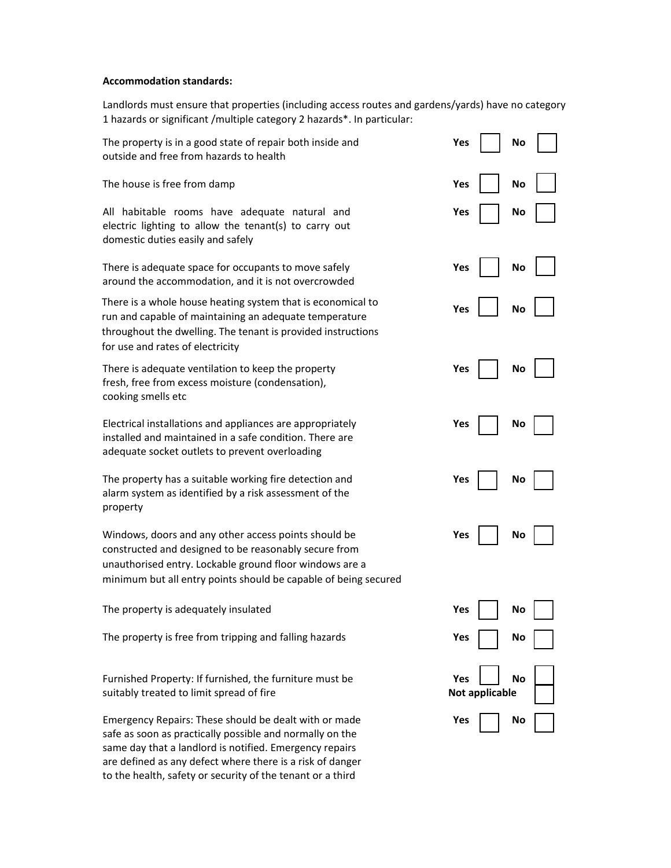## **Accommodation standards:**

Landlords must ensure that properties (including access routes and gardens/yards) have no category 1 hazards or significant /multiple category 2 hazards\*. In particular:

| The property is in a good state of repair both inside and<br>outside and free from hazards to health                                                                                                                                                                                                    | Yes<br>No                   |
|---------------------------------------------------------------------------------------------------------------------------------------------------------------------------------------------------------------------------------------------------------------------------------------------------------|-----------------------------|
| The house is free from damp                                                                                                                                                                                                                                                                             | Yes<br>No                   |
| All habitable rooms have adequate natural and<br>electric lighting to allow the tenant(s) to carry out<br>domestic duties easily and safely                                                                                                                                                             | Yes<br>No                   |
| There is adequate space for occupants to move safely<br>around the accommodation, and it is not overcrowded                                                                                                                                                                                             | Yes<br>No                   |
| There is a whole house heating system that is economical to<br>run and capable of maintaining an adequate temperature<br>throughout the dwelling. The tenant is provided instructions<br>for use and rates of electricity                                                                               | Yes<br>No                   |
| There is adequate ventilation to keep the property<br>fresh, free from excess moisture (condensation),<br>cooking smells etc                                                                                                                                                                            | Yes<br>No                   |
| Electrical installations and appliances are appropriately<br>installed and maintained in a safe condition. There are<br>adequate socket outlets to prevent overloading                                                                                                                                  | Yes<br>No                   |
| The property has a suitable working fire detection and<br>alarm system as identified by a risk assessment of the<br>property                                                                                                                                                                            | Yes<br>No                   |
| Windows, doors and any other access points should be<br>constructed and designed to be reasonably secure from<br>unauthorised entry. Lockable ground floor windows are a<br>minimum but all entry points should be capable of being secured                                                             | Yes<br>No                   |
| The property is adequately insulated                                                                                                                                                                                                                                                                    | Yes<br>No                   |
| The property is free from tripping and falling hazards                                                                                                                                                                                                                                                  | Yes<br>No                   |
| Furnished Property: If furnished, the furniture must be<br>suitably treated to limit spread of fire                                                                                                                                                                                                     | Yes<br>No<br>Not applicable |
| Emergency Repairs: These should be dealt with or made<br>safe as soon as practically possible and normally on the<br>same day that a landlord is notified. Emergency repairs<br>are defined as any defect where there is a risk of danger<br>to the health, safety or security of the tenant or a third | Yes<br>No                   |